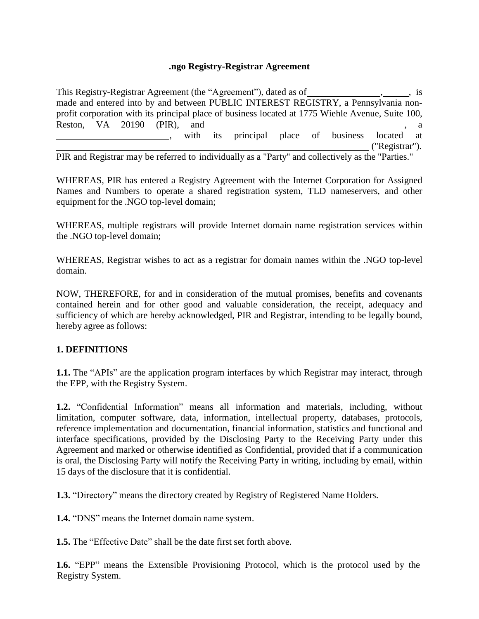#### **.ngo Registry-Registrar Agreement**

This Registry-Registrar Agreement (the "Agreement"), dated as of \_\_\_\_\_\_\_\_\_\_\_\_\_\_\_\_\_\_\_\_\_\_, is made and entered into by and between PUBLIC INTEREST REGISTRY, a Pennsylvania nonprofit corporation with its principal place of business located at 1775 Wiehle Avenue, Suite 100, Reston, VA 20190 (PIR), and , a with its principal place of business located at ("Registrar").

PIR and Registrar may be referred to individually as a "Party" and collectively as the "Parties."

WHEREAS, PIR has entered a Registry Agreement with the Internet Corporation for Assigned Names and Numbers to operate a shared registration system, TLD nameservers, and other equipment for the .NGO top-level domain;

WHEREAS, multiple registrars will provide Internet domain name registration services within the .NGO top-level domain;

WHEREAS, Registrar wishes to act as a registrar for domain names within the .NGO top-level domain.

NOW, THEREFORE, for and in consideration of the mutual promises, benefits and covenants contained herein and for other good and valuable consideration, the receipt, adequacy and sufficiency of which are hereby acknowledged, PIR and Registrar, intending to be legally bound, hereby agree as follows:

### **1. DEFINITIONS**

**1.1.** The "APIs" are the application program interfaces by which Registrar may interact, through the EPP, with the Registry System.

**1.2.** "Confidential Information" means all information and materials, including, without limitation, computer software, data, information, intellectual property, databases, protocols, reference implementation and documentation, financial information, statistics and functional and interface specifications, provided by the Disclosing Party to the Receiving Party under this Agreement and marked or otherwise identified as Confidential, provided that if a communication is oral, the Disclosing Party will notify the Receiving Party in writing, including by email, within 15 days of the disclosure that it is confidential.

**1.3.** "Directory" means the directory created by Registry of Registered Name Holders.

**1.4.** "DNS" means the Internet domain name system.

**1.5.** The "Effective Date" shall be the date first set forth above.

**1.6.** "EPP" means the Extensible Provisioning Protocol, which is the protocol used by the Registry System.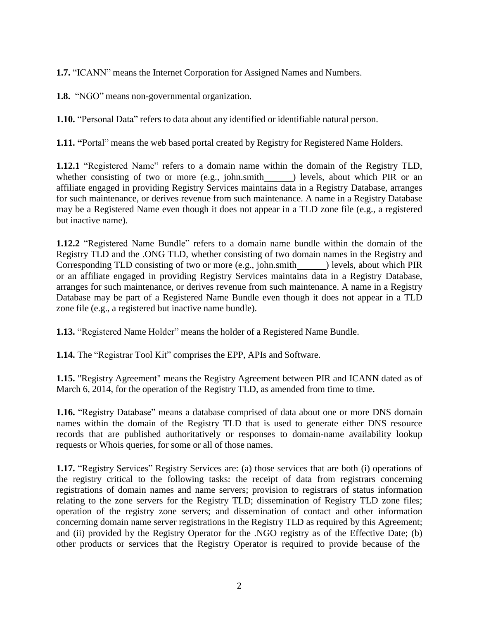**1.7.** "ICANN" means the Internet Corporation for Assigned Names and Numbers.

**1.8.** "NGO" means non-governmental organization.

**1.10.** "Personal Data" refers to data about any identified or identifiable natural person.

**1.11. "**Portal" means the web based portal created by Registry for Registered Name Holders.

**1.12.1** "Registered Name" refers to a domain name within the domain of the Registry TLD, whether consisting of two or more (e.g., john.smith  $\qquad$  ) levels, about which PIR or an affiliate engaged in providing Registry Services maintains data in a Registry Database, arranges for such maintenance, or derives revenue from such maintenance. A name in a Registry Database may be a Registered Name even though it does not appear in a TLD zone file (e.g., a registered but inactive name).

**1.12.2** "Registered Name Bundle" refers to a domain name bundle within the domain of the Registry TLD and the .ONG TLD, whether consisting of two domain names in the Registry and Corresponding TLD consisting of two or more (e.g., john.smith ) levels, about which PIR or an affiliate engaged in providing Registry Services maintains data in a Registry Database, arranges for such maintenance, or derives revenue from such maintenance. A name in a Registry Database may be part of a Registered Name Bundle even though it does not appear in a TLD zone file (e.g., a registered but inactive name bundle).

**1.13.** "Registered Name Holder" means the holder of a Registered Name Bundle.

**1.14.** The "Registrar Tool Kit" comprises the EPP, APIs and Software.

**1.15.** "Registry Agreement" means the Registry Agreement between PIR and ICANN dated as of March 6, 2014, for the operation of the Registry TLD, as amended from time to time.

**1.16.** "Registry Database" means a database comprised of data about one or more DNS domain names within the domain of the Registry TLD that is used to generate either DNS resource records that are published authoritatively or responses to domain-name availability lookup requests or Whois queries, for some or all of those names.

**1.17.** "Registry Services" Registry Services are: (a) those services that are both (i) operations of the registry critical to the following tasks: the receipt of data from registrars concerning registrations of domain names and name servers; provision to registrars of status information relating to the zone servers for the Registry TLD; dissemination of Registry TLD zone files; operation of the registry zone servers; and dissemination of contact and other information concerning domain name server registrations in the Registry TLD as required by this Agreement; and (ii) provided by the Registry Operator for the .NGO registry as of the Effective Date; (b) other products or services that the Registry Operator is required to provide because of the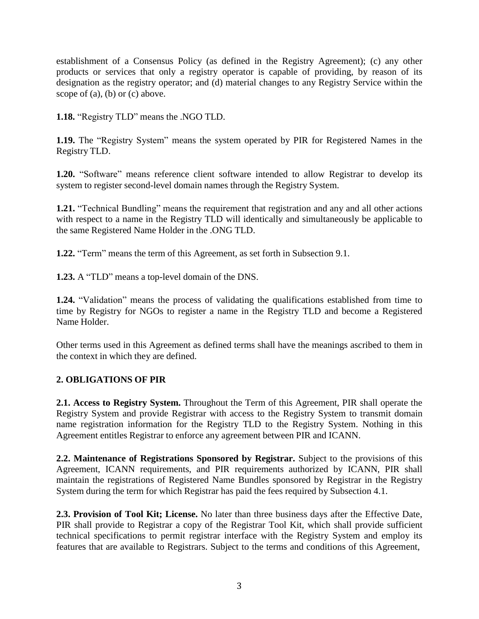establishment of a Consensus Policy (as defined in the Registry Agreement); (c) any other products or services that only a registry operator is capable of providing, by reason of its designation as the registry operator; and (d) material changes to any Registry Service within the scope of (a), (b) or (c) above.

**1.18.** "Registry TLD" means the .NGO TLD.

**1.19.** The "Registry System" means the system operated by PIR for Registered Names in the Registry TLD.

**1.20.** "Software" means reference client software intended to allow Registrar to develop its system to register second-level domain names through the Registry System.

**1.21.** "Technical Bundling" means the requirement that registration and any and all other actions with respect to a name in the Registry TLD will identically and simultaneously be applicable to the same Registered Name Holder in the .ONG TLD.

**1.22.** "Term" means the term of this Agreement, as set forth in Subsection 9.1.

**1.23.** A "TLD" means a top-level domain of the DNS.

**1.24.** "Validation" means the process of validating the qualifications established from time to time by Registry for NGOs to register a name in the Registry TLD and become a Registered Name Holder.

Other terms used in this Agreement as defined terms shall have the meanings ascribed to them in the context in which they are defined.

# **2. OBLIGATIONS OF PIR**

**2.1. Access to Registry System.** Throughout the Term of this Agreement, PIR shall operate the Registry System and provide Registrar with access to the Registry System to transmit domain name registration information for the Registry TLD to the Registry System. Nothing in this Agreement entitles Registrar to enforce any agreement between PIR and ICANN.

**2.2. Maintenance of Registrations Sponsored by Registrar.** Subject to the provisions of this Agreement, ICANN requirements, and PIR requirements authorized by ICANN, PIR shall maintain the registrations of Registered Name Bundles sponsored by Registrar in the Registry System during the term for which Registrar has paid the fees required by Subsection 4.1.

**2.3. Provision of Tool Kit; License.** No later than three business days after the Effective Date, PIR shall provide to Registrar a copy of the Registrar Tool Kit, which shall provide sufficient technical specifications to permit registrar interface with the Registry System and employ its features that are available to Registrars. Subject to the terms and conditions of this Agreement,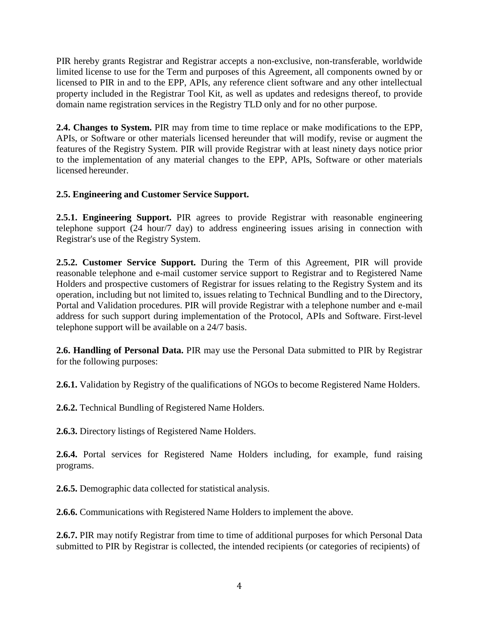PIR hereby grants Registrar and Registrar accepts a non-exclusive, non-transferable, worldwide limited license to use for the Term and purposes of this Agreement, all components owned by or licensed to PIR in and to the EPP, APIs, any reference client software and any other intellectual property included in the Registrar Tool Kit, as well as updates and redesigns thereof, to provide domain name registration services in the Registry TLD only and for no other purpose.

**2.4. Changes to System.** PIR may from time to time replace or make modifications to the EPP, APIs, or Software or other materials licensed hereunder that will modify, revise or augment the features of the Registry System. PIR will provide Registrar with at least ninety days notice prior to the implementation of any material changes to the EPP, APIs, Software or other materials licensed hereunder.

### **2.5. Engineering and Customer Service Support.**

**2.5.1. Engineering Support.** PIR agrees to provide Registrar with reasonable engineering telephone support (24 hour/7 day) to address engineering issues arising in connection with Registrar's use of the Registry System.

**2.5.2. Customer Service Support.** During the Term of this Agreement, PIR will provide reasonable telephone and e-mail customer service support to Registrar and to Registered Name Holders and prospective customers of Registrar for issues relating to the Registry System and its operation, including but not limited to, issues relating to Technical Bundling and to the Directory, Portal and Validation procedures. PIR will provide Registrar with a telephone number and e-mail address for such support during implementation of the Protocol, APIs and Software. First-level telephone support will be available on a 24/7 basis.

**2.6. Handling of Personal Data.** PIR may use the Personal Data submitted to PIR by Registrar for the following purposes:

**2.6.1.** Validation by Registry of the qualifications of NGOs to become Registered Name Holders.

**2.6.2.** Technical Bundling of Registered Name Holders.

**2.6.3.** Directory listings of Registered Name Holders.

**2.6.4.** Portal services for Registered Name Holders including, for example, fund raising programs.

**2.6.5.** Demographic data collected for statistical analysis.

**2.6.6.** Communications with Registered Name Holders to implement the above.

**2.6.7.** PIR may notify Registrar from time to time of additional purposes for which Personal Data submitted to PIR by Registrar is collected, the intended recipients (or categories of recipients) of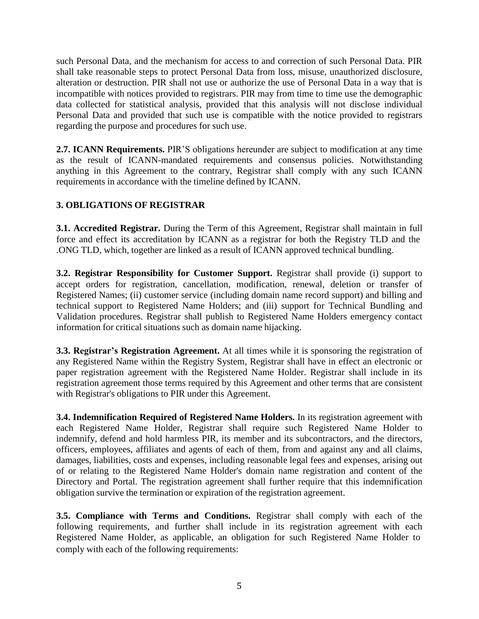such Personal Data, and the mechanism for access to and correction of such Personal Data. PIR shall take reasonable steps to protect Personal Data from loss, misuse, unauthorized disclosure, alteration or destruction. PIR shall not use or authorize the use of Personal Data in a way that is incompatible with notices provided to registrars. PIR may from time to time use the demographic data collected for statistical analysis, provided that this analysis will not disclose individual Personal Data and provided that such use is compatible with the notice provided to registrars regarding the purpose and procedures for such use.

**2.7. ICANN Requirements.** PIR'S obligations hereunder are subject to modification at any time as the result of ICANN-mandated requirements and consensus policies. Notwithstanding anything in this Agreement to the contrary, Registrar shall comply with any such ICANN requirements in accordance with the timeline defined by ICANN.

### **3. OBLIGATIONS OF REGISTRAR**

**3.1. Accredited Registrar.** During the Term of this Agreement, Registrar shall maintain in full force and effect its accreditation by ICANN as a registrar for both the Registry TLD and the .ONG TLD, which, together are linked as a result of ICANN approved technical bundling.

**3.2. Registrar Responsibility for Customer Support.** Registrar shall provide (i) support to accept orders for registration, cancellation, modification, renewal, deletion or transfer of Registered Names; (ii) customer service (including domain name record support) and billing and technical support to Registered Name Holders; and (iii) support for Technical Bundling and Validation procedures. Registrar shall publish to Registered Name Holders emergency contact information for critical situations such as domain name hijacking.

**3.3. Registrar's Registration Agreement.** At all times while it is sponsoring the registration of any Registered Name within the Registry System, Registrar shall have in effect an electronic or paper registration agreement with the Registered Name Holder. Registrar shall include in its registration agreement those terms required by this Agreement and other terms that are consistent with Registrar's obligations to PIR under this Agreement.

**3.4. Indemnification Required of Registered Name Holders.** In its registration agreement with each Registered Name Holder, Registrar shall require such Registered Name Holder to indemnify, defend and hold harmless PIR, its member and its subcontractors, and the directors, officers, employees, affiliates and agents of each of them, from and against any and all claims, damages, liabilities, costs and expenses, including reasonable legal fees and expenses, arising out of or relating to the Registered Name Holder's domain name registration and content of the Directory and Portal. The registration agreement shall further require that this indemnification obligation survive the termination or expiration of the registration agreement.

**3.5. Compliance with Terms and Conditions.** Registrar shall comply with each of the following requirements, and further shall include in its registration agreement with each Registered Name Holder, as applicable, an obligation for such Registered Name Holder to comply with each of the following requirements: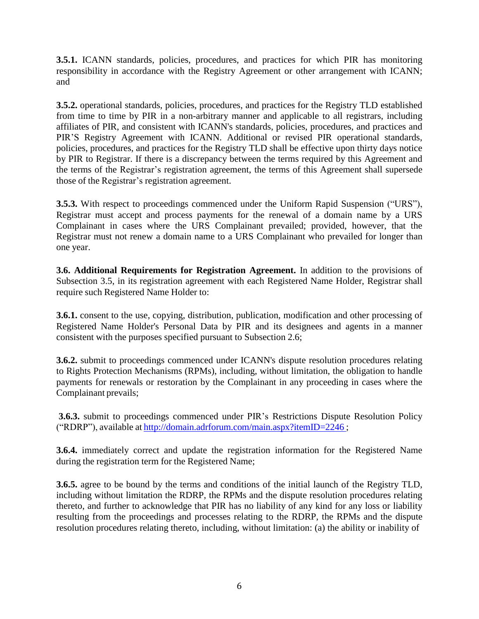**3.5.1.** ICANN standards, policies, procedures, and practices for which PIR has monitoring responsibility in accordance with the Registry Agreement or other arrangement with ICANN; and

**3.5.2.** operational standards, policies, procedures, and practices for the Registry TLD established from time to time by PIR in a non-arbitrary manner and applicable to all registrars, including affiliates of PIR, and consistent with ICANN's standards, policies, procedures, and practices and PIR'S Registry Agreement with ICANN. Additional or revised PIR operational standards, policies, procedures, and practices for the Registry TLD shall be effective upon thirty days notice by PIR to Registrar. If there is a discrepancy between the terms required by this Agreement and the terms of the Registrar's registration agreement, the terms of this Agreement shall supersede those of the Registrar's registration agreement.

**3.5.3.** With respect to proceedings commenced under the Uniform Rapid Suspension ("URS"), Registrar must accept and process payments for the renewal of a domain name by a URS Complainant in cases where the URS Complainant prevailed; provided, however, that the Registrar must not renew a domain name to a URS Complainant who prevailed for longer than one year.

**3.6. Additional Requirements for Registration Agreement.** In addition to the provisions of Subsection 3.5, in its registration agreement with each Registered Name Holder, Registrar shall require such Registered Name Holder to:

**3.6.1.** consent to the use, copying, distribution, publication, modification and other processing of Registered Name Holder's Personal Data by PIR and its designees and agents in a manner consistent with the purposes specified pursuant to Subsection 2.6;

**3.6.2.** submit to proceedings commenced under ICANN's dispute resolution procedures relating to Rights Protection Mechanisms (RPMs), including, without limitation, the obligation to handle payments for renewals or restoration by the Complainant in any proceeding in cases where the Complainant prevails;

**3.6.3.** submit to proceedings commenced under PIR's Restrictions Dispute Resolution Policy ("RDRP"), available at <http://domain.adrforum.com/main.aspx?itemID=2246> ;

**3.6.4.** immediately correct and update the registration information for the Registered Name during the registration term for the Registered Name;

**3.6.5.** agree to be bound by the terms and conditions of the initial launch of the Registry TLD, including without limitation the RDRP, the RPMs and the dispute resolution procedures relating thereto, and further to acknowledge that PIR has no liability of any kind for any loss or liability resulting from the proceedings and processes relating to the RDRP, the RPMs and the dispute resolution procedures relating thereto, including, without limitation: (a) the ability or inability of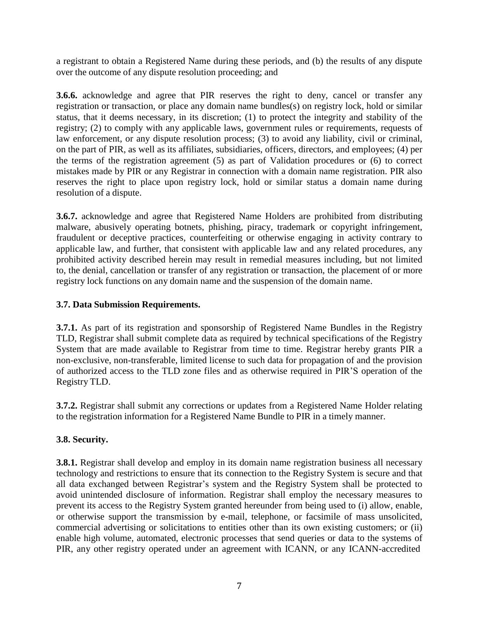a registrant to obtain a Registered Name during these periods, and (b) the results of any dispute over the outcome of any dispute resolution proceeding; and

**3.6.6.** acknowledge and agree that PIR reserves the right to deny, cancel or transfer any registration or transaction, or place any domain name bundles(s) on registry lock, hold or similar status, that it deems necessary, in its discretion; (1) to protect the integrity and stability of the registry; (2) to comply with any applicable laws, government rules or requirements, requests of law enforcement, or any dispute resolution process; (3) to avoid any liability, civil or criminal, on the part of PIR, as well as its affiliates, subsidiaries, officers, directors, and employees; (4) per the terms of the registration agreement (5) as part of Validation procedures or (6) to correct mistakes made by PIR or any Registrar in connection with a domain name registration. PIR also reserves the right to place upon registry lock, hold or similar status a domain name during resolution of a dispute.

**3.6.7.** acknowledge and agree that Registered Name Holders are prohibited from distributing malware, abusively operating botnets, phishing, piracy, trademark or copyright infringement, fraudulent or deceptive practices, counterfeiting or otherwise engaging in activity contrary to applicable law, and further, that consistent with applicable law and any related procedures, any prohibited activity described herein may result in remedial measures including, but not limited to, the denial, cancellation or transfer of any registration or transaction, the placement of or more registry lock functions on any domain name and the suspension of the domain name.

### **3.7. Data Submission Requirements.**

**3.7.1.** As part of its registration and sponsorship of Registered Name Bundles in the Registry TLD, Registrar shall submit complete data as required by technical specifications of the Registry System that are made available to Registrar from time to time. Registrar hereby grants PIR a non-exclusive, non-transferable, limited license to such data for propagation of and the provision of authorized access to the TLD zone files and as otherwise required in PIR'S operation of the Registry TLD.

**3.7.2.** Registrar shall submit any corrections or updates from a Registered Name Holder relating to the registration information for a Registered Name Bundle to PIR in a timely manner.

# **3.8. Security.**

**3.8.1.** Registrar shall develop and employ in its domain name registration business all necessary technology and restrictions to ensure that its connection to the Registry System is secure and that all data exchanged between Registrar's system and the Registry System shall be protected to avoid unintended disclosure of information. Registrar shall employ the necessary measures to prevent its access to the Registry System granted hereunder from being used to (i) allow, enable, or otherwise support the transmission by e-mail, telephone, or facsimile of mass unsolicited, commercial advertising or solicitations to entities other than its own existing customers; or (ii) enable high volume, automated, electronic processes that send queries or data to the systems of PIR, any other registry operated under an agreement with ICANN, or any ICANN-accredited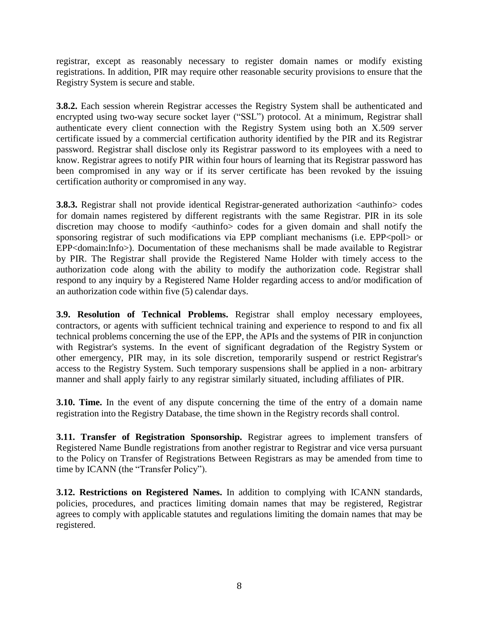registrar, except as reasonably necessary to register domain names or modify existing registrations. In addition, PIR may require other reasonable security provisions to ensure that the Registry System is secure and stable.

**3.8.2.** Each session wherein Registrar accesses the Registry System shall be authenticated and encrypted using two-way secure socket layer ("SSL") protocol. At a minimum, Registrar shall authenticate every client connection with the Registry System using both an X.509 server certificate issued by a commercial certification authority identified by the PIR and its Registrar password. Registrar shall disclose only its Registrar password to its employees with a need to know. Registrar agrees to notify PIR within four hours of learning that its Registrar password has been compromised in any way or if its server certificate has been revoked by the issuing certification authority or compromised in any way.

**3.8.3.** Registrar shall not provide identical Registrar-generated authorization  $\langle$  authinfo $\rangle$  codes for domain names registered by different registrants with the same Registrar. PIR in its sole discretion may choose to modify <authinfo> codes for a given domain and shall notify the sponsoring registrar of such modifications via EPP compliant mechanisms (i.e. EPP<poll> or EPP<domain:Info>). Documentation of these mechanisms shall be made available to Registrar by PIR. The Registrar shall provide the Registered Name Holder with timely access to the authorization code along with the ability to modify the authorization code. Registrar shall respond to any inquiry by a Registered Name Holder regarding access to and/or modification of an authorization code within five (5) calendar days.

**3.9. Resolution of Technical Problems.** Registrar shall employ necessary employees, contractors, or agents with sufficient technical training and experience to respond to and fix all technical problems concerning the use of the EPP, the APIs and the systems of PIR in conjunction with Registrar's systems. In the event of significant degradation of the Registry System or other emergency, PIR may, in its sole discretion, temporarily suspend or restrict Registrar's access to the Registry System. Such temporary suspensions shall be applied in a non- arbitrary manner and shall apply fairly to any registrar similarly situated, including affiliates of PIR.

**3.10. Time.** In the event of any dispute concerning the time of the entry of a domain name registration into the Registry Database, the time shown in the Registry records shall control.

**3.11. Transfer of Registration Sponsorship.** Registrar agrees to implement transfers of Registered Name Bundle registrations from another registrar to Registrar and vice versa pursuant to the Policy on Transfer of Registrations Between Registrars as may be amended from time to time by ICANN (the "Transfer Policy").

**3.12. Restrictions on Registered Names.** In addition to complying with ICANN standards, policies, procedures, and practices limiting domain names that may be registered, Registrar agrees to comply with applicable statutes and regulations limiting the domain names that may be registered.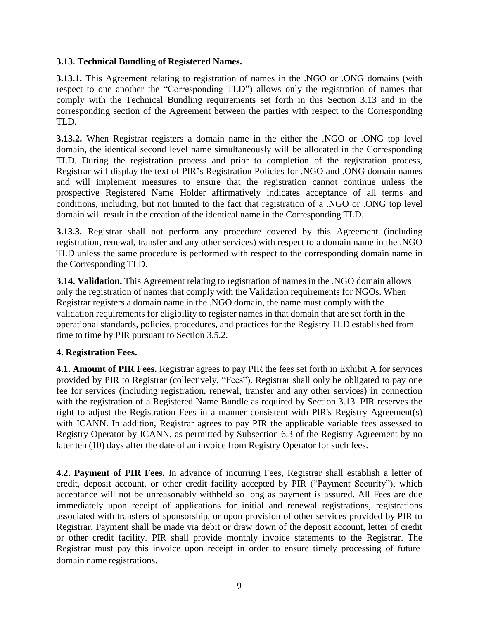#### **3.13. Technical Bundling of Registered Names.**

**3.13.1.** This Agreement relating to registration of names in the .NGO or .ONG domains (with respect to one another the "Corresponding TLD") allows only the registration of names that comply with the Technical Bundling requirements set forth in this Section 3.13 and in the corresponding section of the Agreement between the parties with respect to the Corresponding TLD.

**3.13.2.** When Registrar registers a domain name in the either the .NGO or .ONG top level domain, the identical second level name simultaneously will be allocated in the Corresponding TLD. During the registration process and prior to completion of the registration process, Registrar will display the text of PIR's Registration Policies for .NGO and .ONG domain names and will implement measures to ensure that the registration cannot continue unless the prospective Registered Name Holder affirmatively indicates acceptance of all terms and conditions, including, but not limited to the fact that registration of a .NGO or .ONG top level domain will result in the creation of the identical name in the Corresponding TLD.

**3.13.3.** Registrar shall not perform any procedure covered by this Agreement (including registration, renewal, transfer and any other services) with respect to a domain name in the .NGO TLD unless the same procedure is performed with respect to the corresponding domain name in the Corresponding TLD.

**3.14. Validation.** This Agreement relating to registration of names in the .NGO domain allows only the registration of names that comply with the Validation requirements for NGOs. When Registrar registers a domain name in the .NGO domain, the name must comply with the validation requirements for eligibility to register names in that domain that are set forth in the operational standards, policies, procedures, and practices for the Registry TLD established from time to time by PIR pursuant to Section 3.5.2.

### **4. Registration Fees.**

**4.1. Amount of PIR Fees.** Registrar agrees to pay PIR the fees set forth in Exhibit A for services provided by PIR to Registrar (collectively, "Fees"). Registrar shall only be obligated to pay one fee for services (including registration, renewal, transfer and any other services) in connection with the registration of a Registered Name Bundle as required by Section 3.13. PIR reserves the right to adjust the Registration Fees in a manner consistent with PIR's Registry Agreement(s) with ICANN. In addition, Registrar agrees to pay PIR the applicable variable fees assessed to Registry Operator by ICANN, as permitted by Subsection 6.3 of the Registry Agreement by no later ten (10) days after the date of an invoice from Registry Operator for such fees.

**4.2. Payment of PIR Fees.** In advance of incurring Fees, Registrar shall establish a letter of credit, deposit account, or other credit facility accepted by PIR ("Payment Security"), which acceptance will not be unreasonably withheld so long as payment is assured. All Fees are due immediately upon receipt of applications for initial and renewal registrations, registrations associated with transfers of sponsorship, or upon provision of other services provided by PIR to Registrar. Payment shall be made via debit or draw down of the deposit account, letter of credit or other credit facility. PIR shall provide monthly invoice statements to the Registrar. The Registrar must pay this invoice upon receipt in order to ensure timely processing of future domain name registrations.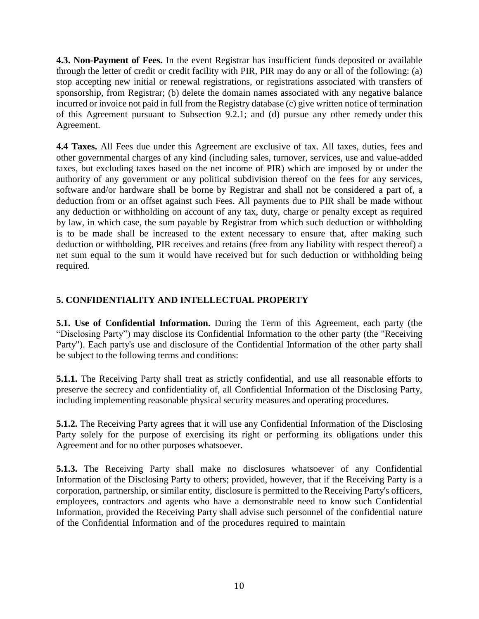**4.3. Non-Payment of Fees.** In the event Registrar has insufficient funds deposited or available through the letter of credit or credit facility with PIR, PIR may do any or all of the following: (a) stop accepting new initial or renewal registrations, or registrations associated with transfers of sponsorship, from Registrar; (b) delete the domain names associated with any negative balance incurred or invoice not paid in full from the Registry database (c) give written notice of termination of this Agreement pursuant to Subsection 9.2.1; and (d) pursue any other remedy under this Agreement.

**4.4 Taxes.** All Fees due under this Agreement are exclusive of tax. All taxes, duties, fees and other governmental charges of any kind (including sales, turnover, services, use and value-added taxes, but excluding taxes based on the net income of PIR) which are imposed by or under the authority of any government or any political subdivision thereof on the fees for any services, software and/or hardware shall be borne by Registrar and shall not be considered a part of, a deduction from or an offset against such Fees. All payments due to PIR shall be made without any deduction or withholding on account of any tax, duty, charge or penalty except as required by law, in which case, the sum payable by Registrar from which such deduction or withholding is to be made shall be increased to the extent necessary to ensure that, after making such deduction or withholding, PIR receives and retains (free from any liability with respect thereof) a net sum equal to the sum it would have received but for such deduction or withholding being required.

# **5. CONFIDENTIALITY AND INTELLECTUAL PROPERTY**

**5.1. Use of Confidential Information.** During the Term of this Agreement, each party (the "Disclosing Party") may disclose its Confidential Information to the other party (the "Receiving Party"). Each party's use and disclosure of the Confidential Information of the other party shall be subject to the following terms and conditions:

**5.1.1.** The Receiving Party shall treat as strictly confidential, and use all reasonable efforts to preserve the secrecy and confidentiality of, all Confidential Information of the Disclosing Party, including implementing reasonable physical security measures and operating procedures.

**5.1.2.** The Receiving Party agrees that it will use any Confidential Information of the Disclosing Party solely for the purpose of exercising its right or performing its obligations under this Agreement and for no other purposes whatsoever.

**5.1.3.** The Receiving Party shall make no disclosures whatsoever of any Confidential Information of the Disclosing Party to others; provided, however, that if the Receiving Party is a corporation, partnership, or similar entity, disclosure is permitted to the Receiving Party's officers, employees, contractors and agents who have a demonstrable need to know such Confidential Information, provided the Receiving Party shall advise such personnel of the confidential nature of the Confidential Information and of the procedures required to maintain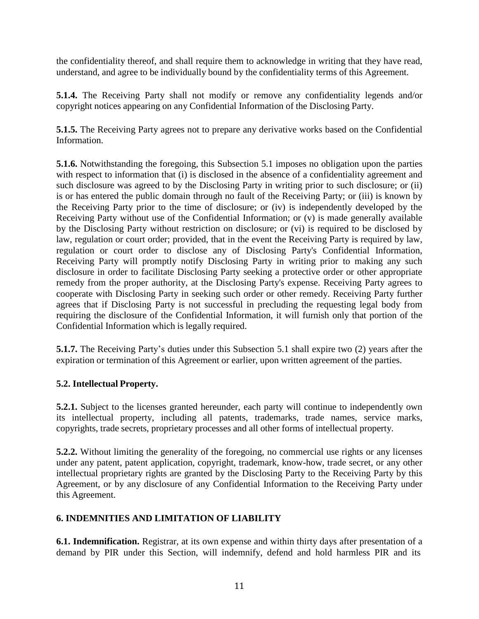the confidentiality thereof, and shall require them to acknowledge in writing that they have read, understand, and agree to be individually bound by the confidentiality terms of this Agreement.

**5.1.4.** The Receiving Party shall not modify or remove any confidentiality legends and/or copyright notices appearing on any Confidential Information of the Disclosing Party.

**5.1.5.** The Receiving Party agrees not to prepare any derivative works based on the Confidential Information.

**5.1.6.** Notwithstanding the foregoing, this Subsection 5.1 imposes no obligation upon the parties with respect to information that (i) is disclosed in the absence of a confidentiality agreement and such disclosure was agreed to by the Disclosing Party in writing prior to such disclosure; or (ii) is or has entered the public domain through no fault of the Receiving Party; or (iii) is known by the Receiving Party prior to the time of disclosure; or (iv) is independently developed by the Receiving Party without use of the Confidential Information; or (v) is made generally available by the Disclosing Party without restriction on disclosure; or (vi) is required to be disclosed by law, regulation or court order; provided, that in the event the Receiving Party is required by law, regulation or court order to disclose any of Disclosing Party's Confidential Information, Receiving Party will promptly notify Disclosing Party in writing prior to making any such disclosure in order to facilitate Disclosing Party seeking a protective order or other appropriate remedy from the proper authority, at the Disclosing Party's expense. Receiving Party agrees to cooperate with Disclosing Party in seeking such order or other remedy. Receiving Party further agrees that if Disclosing Party is not successful in precluding the requesting legal body from requiring the disclosure of the Confidential Information, it will furnish only that portion of the Confidential Information which is legally required.

**5.1.7.** The Receiving Party's duties under this Subsection 5.1 shall expire two (2) years after the expiration or termination of this Agreement or earlier, upon written agreement of the parties.

# **5.2. Intellectual Property.**

**5.2.1.** Subject to the licenses granted hereunder, each party will continue to independently own its intellectual property, including all patents, trademarks, trade names, service marks, copyrights, trade secrets, proprietary processes and all other forms of intellectual property.

**5.2.2.** Without limiting the generality of the foregoing, no commercial use rights or any licenses under any patent, patent application, copyright, trademark, know-how, trade secret, or any other intellectual proprietary rights are granted by the Disclosing Party to the Receiving Party by this Agreement, or by any disclosure of any Confidential Information to the Receiving Party under this Agreement.

### **6. INDEMNITIES AND LIMITATION OF LIABILITY**

**6.1. Indemnification.** Registrar, at its own expense and within thirty days after presentation of a demand by PIR under this Section, will indemnify, defend and hold harmless PIR and its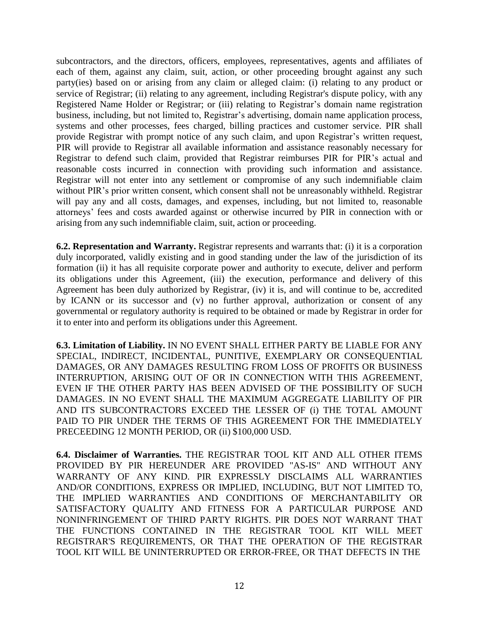subcontractors, and the directors, officers, employees, representatives, agents and affiliates of each of them, against any claim, suit, action, or other proceeding brought against any such party(ies) based on or arising from any claim or alleged claim: (i) relating to any product or service of Registrar; (ii) relating to any agreement, including Registrar's dispute policy, with any Registered Name Holder or Registrar; or (iii) relating to Registrar's domain name registration business, including, but not limited to, Registrar's advertising, domain name application process, systems and other processes, fees charged, billing practices and customer service. PIR shall provide Registrar with prompt notice of any such claim, and upon Registrar's written request, PIR will provide to Registrar all available information and assistance reasonably necessary for Registrar to defend such claim, provided that Registrar reimburses PIR for PIR's actual and reasonable costs incurred in connection with providing such information and assistance. Registrar will not enter into any settlement or compromise of any such indemnifiable claim without PIR's prior written consent, which consent shall not be unreasonably withheld. Registrar will pay any and all costs, damages, and expenses, including, but not limited to, reasonable attorneys' fees and costs awarded against or otherwise incurred by PIR in connection with or arising from any such indemnifiable claim, suit, action or proceeding.

**6.2. Representation and Warranty.** Registrar represents and warrants that: (i) it is a corporation duly incorporated, validly existing and in good standing under the law of the jurisdiction of its formation (ii) it has all requisite corporate power and authority to execute, deliver and perform its obligations under this Agreement, (iii) the execution, performance and delivery of this Agreement has been duly authorized by Registrar, (iv) it is, and will continue to be, accredited by ICANN or its successor and (v) no further approval, authorization or consent of any governmental or regulatory authority is required to be obtained or made by Registrar in order for it to enter into and perform its obligations under this Agreement.

**6.3. Limitation of Liability.** IN NO EVENT SHALL EITHER PARTY BE LIABLE FOR ANY SPECIAL, INDIRECT, INCIDENTAL, PUNITIVE, EXEMPLARY OR CONSEQUENTIAL DAMAGES, OR ANY DAMAGES RESULTING FROM LOSS OF PROFITS OR BUSINESS INTERRUPTION, ARISING OUT OF OR IN CONNECTION WITH THIS AGREEMENT, EVEN IF THE OTHER PARTY HAS BEEN ADVISED OF THE POSSIBILITY OF SUCH DAMAGES. IN NO EVENT SHALL THE MAXIMUM AGGREGATE LIABILITY OF PIR AND ITS SUBCONTRACTORS EXCEED THE LESSER OF (i) THE TOTAL AMOUNT PAID TO PIR UNDER THE TERMS OF THIS AGREEMENT FOR THE IMMEDIATELY PRECEEDING 12 MONTH PERIOD, OR (ii) \$100,000 USD.

**6.4. Disclaimer of Warranties.** THE REGISTRAR TOOL KIT AND ALL OTHER ITEMS PROVIDED BY PIR HEREUNDER ARE PROVIDED "AS-IS" AND WITHOUT ANY WARRANTY OF ANY KIND. PIR EXPRESSLY DISCLAIMS ALL WARRANTIES AND/OR CONDITIONS, EXPRESS OR IMPLIED, INCLUDING, BUT NOT LIMITED TO, THE IMPLIED WARRANTIES AND CONDITIONS OF MERCHANTABILITY OR SATISFACTORY QUALITY AND FITNESS FOR A PARTICULAR PURPOSE AND NONINFRINGEMENT OF THIRD PARTY RIGHTS. PIR DOES NOT WARRANT THAT THE FUNCTIONS CONTAINED IN THE REGISTRAR TOOL KIT WILL MEET REGISTRAR'S REQUIREMENTS, OR THAT THE OPERATION OF THE REGISTRAR TOOL KIT WILL BE UNINTERRUPTED OR ERROR-FREE, OR THAT DEFECTS IN THE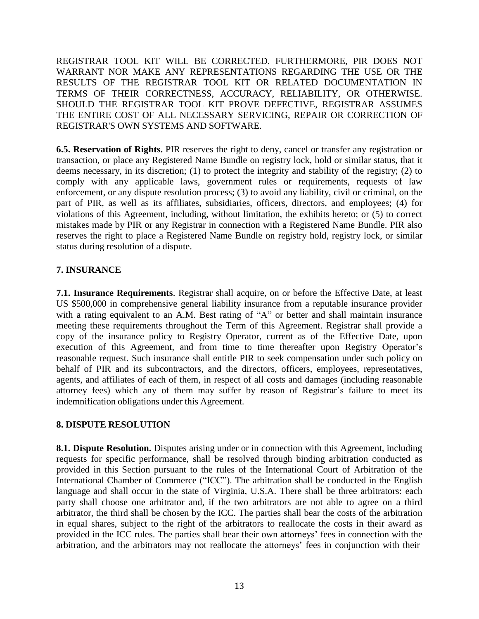REGISTRAR TOOL KIT WILL BE CORRECTED. FURTHERMORE, PIR DOES NOT WARRANT NOR MAKE ANY REPRESENTATIONS REGARDING THE USE OR THE RESULTS OF THE REGISTRAR TOOL KIT OR RELATED DOCUMENTATION IN TERMS OF THEIR CORRECTNESS, ACCURACY, RELIABILITY, OR OTHERWISE. SHOULD THE REGISTRAR TOOL KIT PROVE DEFECTIVE, REGISTRAR ASSUMES THE ENTIRE COST OF ALL NECESSARY SERVICING, REPAIR OR CORRECTION OF REGISTRAR'S OWN SYSTEMS AND SOFTWARE.

**6.5. Reservation of Rights.** PIR reserves the right to deny, cancel or transfer any registration or transaction, or place any Registered Name Bundle on registry lock, hold or similar status, that it deems necessary, in its discretion; (1) to protect the integrity and stability of the registry; (2) to comply with any applicable laws, government rules or requirements, requests of law enforcement, or any dispute resolution process; (3) to avoid any liability, civil or criminal, on the part of PIR, as well as its affiliates, subsidiaries, officers, directors, and employees; (4) for violations of this Agreement, including, without limitation, the exhibits hereto; or (5) to correct mistakes made by PIR or any Registrar in connection with a Registered Name Bundle. PIR also reserves the right to place a Registered Name Bundle on registry hold, registry lock, or similar status during resolution of a dispute.

### **7. INSURANCE**

**7.1. Insurance Requirements**. Registrar shall acquire, on or before the Effective Date, at least US \$500,000 in comprehensive general liability insurance from a reputable insurance provider with a rating equivalent to an A.M. Best rating of "A" or better and shall maintain insurance meeting these requirements throughout the Term of this Agreement. Registrar shall provide a copy of the insurance policy to Registry Operator, current as of the Effective Date, upon execution of this Agreement, and from time to time thereafter upon Registry Operator's reasonable request. Such insurance shall entitle PIR to seek compensation under such policy on behalf of PIR and its subcontractors, and the directors, officers, employees, representatives, agents, and affiliates of each of them, in respect of all costs and damages (including reasonable attorney fees) which any of them may suffer by reason of Registrar's failure to meet its indemnification obligations under this Agreement.

### **8. DISPUTE RESOLUTION**

**8.1. Dispute Resolution.** Disputes arising under or in connection with this Agreement, including requests for specific performance, shall be resolved through binding arbitration conducted as provided in this Section pursuant to the rules of the International Court of Arbitration of the International Chamber of Commerce ("ICC"). The arbitration shall be conducted in the English language and shall occur in the state of Virginia, U.S.A. There shall be three arbitrators: each party shall choose one arbitrator and, if the two arbitrators are not able to agree on a third arbitrator, the third shall be chosen by the ICC. The parties shall bear the costs of the arbitration in equal shares, subject to the right of the arbitrators to reallocate the costs in their award as provided in the ICC rules. The parties shall bear their own attorneys' fees in connection with the arbitration, and the arbitrators may not reallocate the attorneys' fees in conjunction with their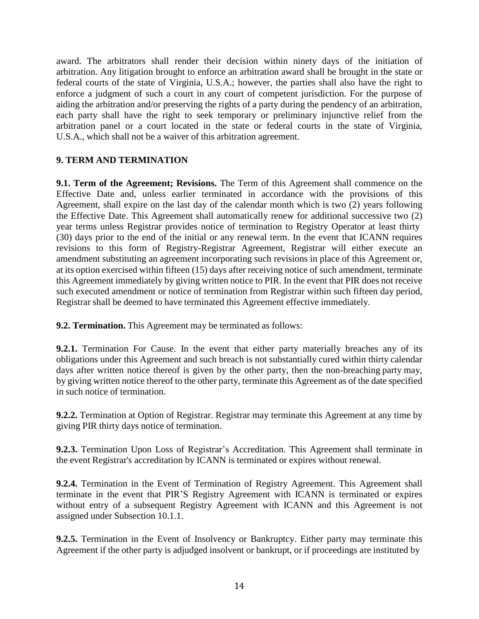award. The arbitrators shall render their decision within ninety days of the initiation of arbitration. Any litigation brought to enforce an arbitration award shall be brought in the state or federal courts of the state of Virginia, U.S.A.; however, the parties shall also have the right to enforce a judgment of such a court in any court of competent jurisdiction. For the purpose of aiding the arbitration and/or preserving the rights of a party during the pendency of an arbitration, each party shall have the right to seek temporary or preliminary injunctive relief from the arbitration panel or a court located in the state or federal courts in the state of Virginia, U.S.A., which shall not be a waiver of this arbitration agreement.

### **9. TERM AND TERMINATION**

**9.1. Term of the Agreement; Revisions.** The Term of this Agreement shall commence on the Effective Date and, unless earlier terminated in accordance with the provisions of this Agreement, shall expire on the last day of the calendar month which is two (2) years following the Effective Date. This Agreement shall automatically renew for additional successive two (2) year terms unless Registrar provides notice of termination to Registry Operator at least thirty (30) days prior to the end of the initial or any renewal term. In the event that ICANN requires revisions to this form of Registry-Registrar Agreement, Registrar will either execute an amendment substituting an agreement incorporating such revisions in place of this Agreement or, at its option exercised within fifteen (15) days after receiving notice of such amendment, terminate this Agreement immediately by giving written notice to PIR. In the event that PIR does not receive such executed amendment or notice of termination from Registrar within such fifteen day period, Registrar shall be deemed to have terminated this Agreement effective immediately.

**9.2. Termination.** This Agreement may be terminated as follows:

**9.2.1.** Termination For Cause. In the event that either party materially breaches any of its obligations under this Agreement and such breach is not substantially cured within thirty calendar days after written notice thereof is given by the other party, then the non-breaching party may, by giving written notice thereof to the other party, terminate this Agreement as of the date specified in such notice of termination.

**9.2.2.** Termination at Option of Registrar. Registrar may terminate this Agreement at any time by giving PIR thirty days notice of termination.

**9.2.3.** Termination Upon Loss of Registrar's Accreditation. This Agreement shall terminate in the event Registrar's accreditation by ICANN is terminated or expires without renewal.

**9.2.4.** Termination in the Event of Termination of Registry Agreement. This Agreement shall terminate in the event that PIR'S Registry Agreement with ICANN is terminated or expires without entry of a subsequent Registry Agreement with ICANN and this Agreement is not assigned under Subsection 10.1.1.

**9.2.5.** Termination in the Event of Insolvency or Bankruptcy. Either party may terminate this Agreement if the other party is adjudged insolvent or bankrupt, or if proceedings are instituted by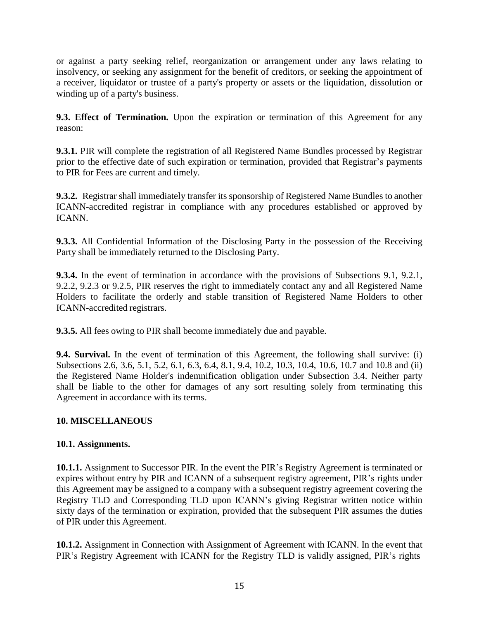or against a party seeking relief, reorganization or arrangement under any laws relating to insolvency, or seeking any assignment for the benefit of creditors, or seeking the appointment of a receiver, liquidator or trustee of a party's property or assets or the liquidation, dissolution or winding up of a party's business.

**9.3. Effect of Termination.** Upon the expiration or termination of this Agreement for any reason:

**9.3.1.** PIR will complete the registration of all Registered Name Bundles processed by Registrar prior to the effective date of such expiration or termination, provided that Registrar's payments to PIR for Fees are current and timely.

**9.3.2.** Registrar shall immediately transfer its sponsorship of Registered Name Bundles to another ICANN-accredited registrar in compliance with any procedures established or approved by ICANN.

**9.3.3.** All Confidential Information of the Disclosing Party in the possession of the Receiving Party shall be immediately returned to the Disclosing Party.

**9.3.4.** In the event of termination in accordance with the provisions of Subsections 9.1, 9.2.1, 9.2.2, 9.2.3 or 9.2.5, PIR reserves the right to immediately contact any and all Registered Name Holders to facilitate the orderly and stable transition of Registered Name Holders to other ICANN-accredited registrars.

**9.3.5.** All fees owing to PIR shall become immediately due and payable.

**9.4. Survival.** In the event of termination of this Agreement, the following shall survive: (i) Subsections 2.6, 3.6, 5.1, 5.2, 6.1, 6.3, 6.4, 8.1, 9.4, 10.2, 10.3, 10.4, 10.6, 10.7 and 10.8 and (ii) the Registered Name Holder's indemnification obligation under Subsection 3.4. Neither party shall be liable to the other for damages of any sort resulting solely from terminating this Agreement in accordance with its terms.

# **10. MISCELLANEOUS**

### **10.1. Assignments.**

**10.1.1.** Assignment to Successor PIR. In the event the PIR's Registry Agreement is terminated or expires without entry by PIR and ICANN of a subsequent registry agreement, PIR's rights under this Agreement may be assigned to a company with a subsequent registry agreement covering the Registry TLD and Corresponding TLD upon ICANN's giving Registrar written notice within sixty days of the termination or expiration, provided that the subsequent PIR assumes the duties of PIR under this Agreement.

**10.1.2.** Assignment in Connection with Assignment of Agreement with ICANN. In the event that PIR's Registry Agreement with ICANN for the Registry TLD is validly assigned, PIR's rights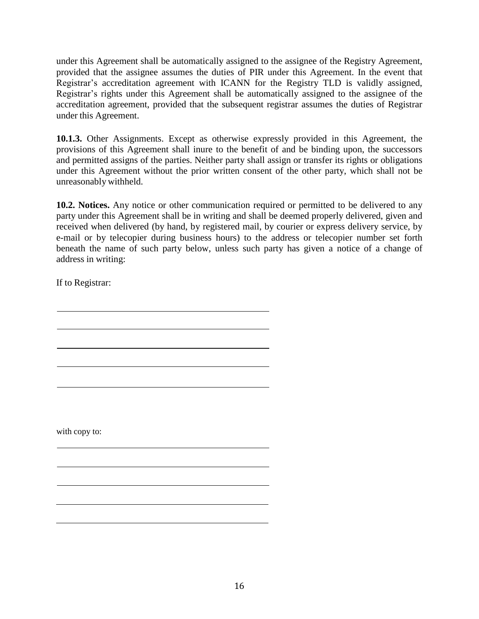under this Agreement shall be automatically assigned to the assignee of the Registry Agreement, provided that the assignee assumes the duties of PIR under this Agreement. In the event that Registrar's accreditation agreement with ICANN for the Registry TLD is validly assigned, Registrar's rights under this Agreement shall be automatically assigned to the assignee of the accreditation agreement, provided that the subsequent registrar assumes the duties of Registrar under this Agreement.

**10.1.3.** Other Assignments. Except as otherwise expressly provided in this Agreement, the provisions of this Agreement shall inure to the benefit of and be binding upon, the successors and permitted assigns of the parties. Neither party shall assign or transfer its rights or obligations under this Agreement without the prior written consent of the other party, which shall not be unreasonably withheld.

**10.2. Notices.** Any notice or other communication required or permitted to be delivered to any party under this Agreement shall be in writing and shall be deemed properly delivered, given and received when delivered (by hand, by registered mail, by courier or express delivery service, by e-mail or by telecopier during business hours) to the address or telecopier number set forth beneath the name of such party below, unless such party has given a notice of a change of address in writing:

If to Registrar:

with copy to: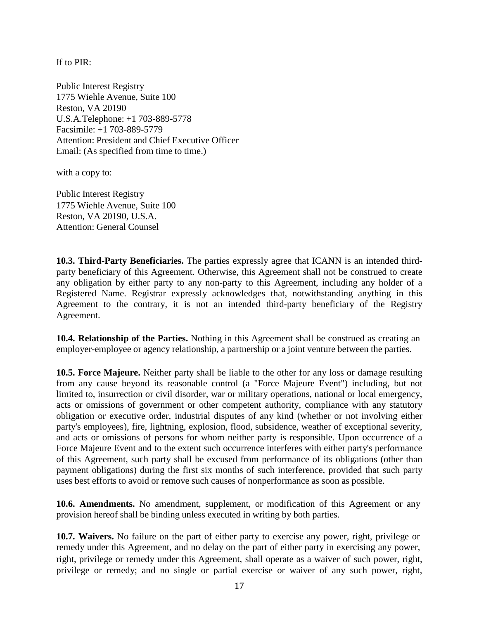If to PIR:

Public Interest Registry 1775 Wiehle Avenue, Suite 100 Reston, VA 20190 U.S.A.Telephone: +1 703-889-5778 Facsimile: +1 703-889-5779 Attention: President and Chief Executive Officer Email: (As specified from time to time.)

with a copy to:

Public Interest Registry 1775 Wiehle Avenue, Suite 100 Reston, VA 20190, U.S.A. Attention: General Counsel

**10.3. Third-Party Beneficiaries.** The parties expressly agree that ICANN is an intended thirdparty beneficiary of this Agreement. Otherwise, this Agreement shall not be construed to create any obligation by either party to any non-party to this Agreement, including any holder of a Registered Name. Registrar expressly acknowledges that, notwithstanding anything in this Agreement to the contrary, it is not an intended third-party beneficiary of the Registry Agreement.

**10.4. Relationship of the Parties.** Nothing in this Agreement shall be construed as creating an employer-employee or agency relationship, a partnership or a joint venture between the parties.

**10.5. Force Majeure.** Neither party shall be liable to the other for any loss or damage resulting from any cause beyond its reasonable control (a "Force Majeure Event") including, but not limited to, insurrection or civil disorder, war or military operations, national or local emergency, acts or omissions of government or other competent authority, compliance with any statutory obligation or executive order, industrial disputes of any kind (whether or not involving either party's employees), fire, lightning, explosion, flood, subsidence, weather of exceptional severity, and acts or omissions of persons for whom neither party is responsible. Upon occurrence of a Force Majeure Event and to the extent such occurrence interferes with either party's performance of this Agreement, such party shall be excused from performance of its obligations (other than payment obligations) during the first six months of such interference, provided that such party uses best efforts to avoid or remove such causes of nonperformance as soon as possible.

**10.6. Amendments.** No amendment, supplement, or modification of this Agreement or any provision hereof shall be binding unless executed in writing by both parties.

**10.7. Waivers.** No failure on the part of either party to exercise any power, right, privilege or remedy under this Agreement, and no delay on the part of either party in exercising any power, right, privilege or remedy under this Agreement, shall operate as a waiver of such power, right, privilege or remedy; and no single or partial exercise or waiver of any such power, right,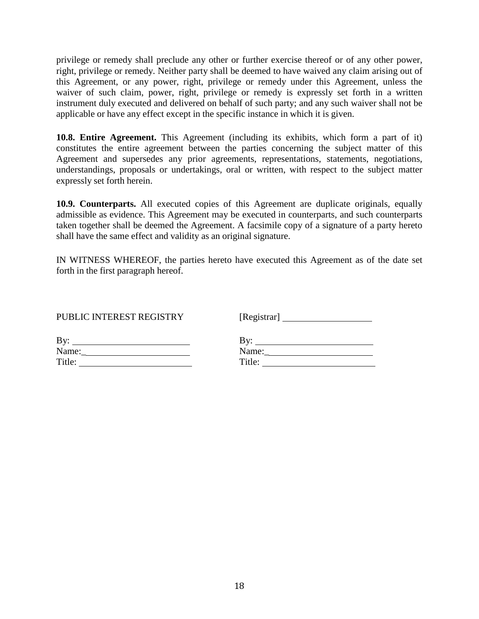privilege or remedy shall preclude any other or further exercise thereof or of any other power, right, privilege or remedy. Neither party shall be deemed to have waived any claim arising out of this Agreement, or any power, right, privilege or remedy under this Agreement, unless the waiver of such claim, power, right, privilege or remedy is expressly set forth in a written instrument duly executed and delivered on behalf of such party; and any such waiver shall not be applicable or have any effect except in the specific instance in which it is given.

**10.8. Entire Agreement.** This Agreement (including its exhibits, which form a part of it) constitutes the entire agreement between the parties concerning the subject matter of this Agreement and supersedes any prior agreements, representations, statements, negotiations, understandings, proposals or undertakings, oral or written, with respect to the subject matter expressly set forth herein.

**10.9. Counterparts.** All executed copies of this Agreement are duplicate originals, equally admissible as evidence. This Agreement may be executed in counterparts, and such counterparts taken together shall be deemed the Agreement. A facsimile copy of a signature of a party hereto shall have the same effect and validity as an original signature.

IN WITNESS WHEREOF, the parties hereto have executed this Agreement as of the date set forth in the first paragraph hereof.

| PUBLIC INTEREST REGISTRY |        |
|--------------------------|--------|
| Bv:                      | Bv:    |
| Name:                    | Name:  |
| Title:                   | Title: |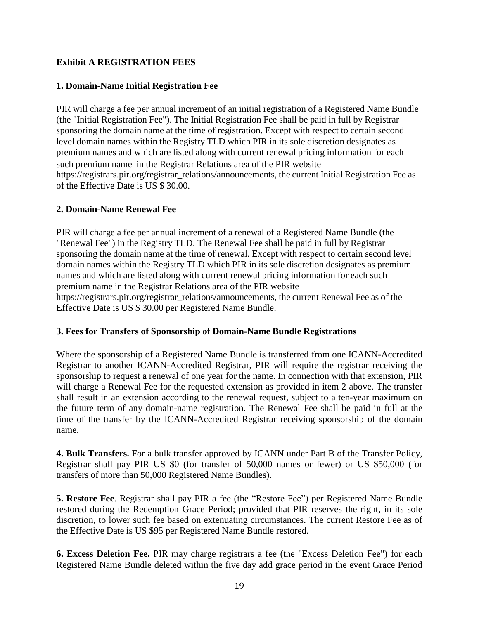### **Exhibit A REGISTRATION FEES**

### **1. Domain-Name Initial Registration Fee**

PIR will charge a fee per annual increment of an initial registration of a Registered Name Bundle (the "Initial Registration Fee"). The Initial Registration Fee shall be paid in full by Registrar sponsoring the domain name at the time of registration. Except with respect to certain second level domain names within the Registry TLD which PIR in its sole discretion designates as premium names and which are listed along with current renewal pricing information for each such premium name in the Registrar Relations area of the PIR website https://registrars.pir.org/registrar\_relations/announcements, the current Initial Registration Fee as of the Effective Date is US \$ 30.00.

### **2. Domain-Name Renewal Fee**

PIR will charge a fee per annual increment of a renewal of a Registered Name Bundle (the "Renewal Fee") in the Registry TLD. The Renewal Fee shall be paid in full by Registrar sponsoring the domain name at the time of renewal. Except with respect to certain second level domain names within the Registry TLD which PIR in its sole discretion designates as premium names and which are listed along with current renewal pricing information for each such premium name in the Registrar Relations area of the PIR website https://registrars.pir.org/registrar\_relations/announcements, the current Renewal Fee as of the Effective Date is US \$ 30.00 per Registered Name Bundle.

### **3. Fees for Transfers of Sponsorship of Domain-Name Bundle Registrations**

Where the sponsorship of a Registered Name Bundle is transferred from one ICANN-Accredited Registrar to another ICANN-Accredited Registrar, PIR will require the registrar receiving the sponsorship to request a renewal of one year for the name. In connection with that extension, PIR will charge a Renewal Fee for the requested extension as provided in item 2 above. The transfer shall result in an extension according to the renewal request, subject to a ten-year maximum on the future term of any domain-name registration. The Renewal Fee shall be paid in full at the time of the transfer by the ICANN-Accredited Registrar receiving sponsorship of the domain name.

**4. Bulk Transfers.** For a bulk transfer approved by ICANN under Part B of the Transfer Policy, Registrar shall pay PIR US \$0 (for transfer of 50,000 names or fewer) or US \$50,000 (for transfers of more than 50,000 Registered Name Bundles).

**5. Restore Fee**. Registrar shall pay PIR a fee (the "Restore Fee") per Registered Name Bundle restored during the Redemption Grace Period; provided that PIR reserves the right, in its sole discretion, to lower such fee based on extenuating circumstances. The current Restore Fee as of the Effective Date is US \$95 per Registered Name Bundle restored.

**6. Excess Deletion Fee.** PIR may charge registrars a fee (the "Excess Deletion Fee") for each Registered Name Bundle deleted within the five day add grace period in the event Grace Period